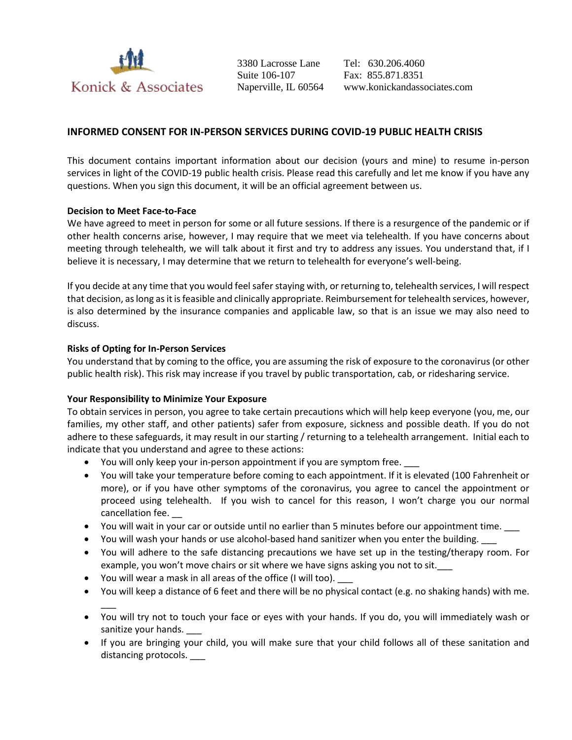

3380 Lacrosse Lane Suite 106-107 Naperville, IL 60564

Tel: 630.206.4060 Fax: 855.871.8351 www.konickandassociates.com

# **INFORMED CONSENT FOR IN-PERSON SERVICES DURING COVID-19 PUBLIC HEALTH CRISIS**

This document contains important information about our decision (yours and mine) to resume in-person services in light of the COVID-19 public health crisis. Please read this carefully and let me know if you have any questions. When you sign this document, it will be an official agreement between us.

#### **Decision to Meet Face-to-Face**

We have agreed to meet in person for some or all future sessions. If there is a resurgence of the pandemic or if other health concerns arise, however, I may require that we meet via telehealth. If you have concerns about meeting through telehealth, we will talk about it first and try to address any issues. You understand that, if I believe it is necessary, I may determine that we return to telehealth for everyone's well-being.

If you decide at any time that you would feel safer staying with, or returning to, telehealth services, I will respect that decision, as long as it is feasible and clinically appropriate. Reimbursement for telehealth services, however, is also determined by the insurance companies and applicable law, so that is an issue we may also need to discuss.

#### **Risks of Opting for In-Person Services**

You understand that by coming to the office, you are assuming the risk of exposure to the coronavirus (or other public health risk). This risk may increase if you travel by public transportation, cab, or ridesharing service.

#### **Your Responsibility to Minimize Your Exposure**

To obtain services in person, you agree to take certain precautions which will help keep everyone (you, me, our families, my other staff, and other patients) safer from exposure, sickness and possible death. If you do not adhere to these safeguards, it may result in our starting / returning to a telehealth arrangement. Initial each to indicate that you understand and agree to these actions:

- You will only keep your in-person appointment if you are symptom free.
- You will take your temperature before coming to each appointment. If it is elevated (100 Fahrenheit or more), or if you have other symptoms of the coronavirus, you agree to cancel the appointment or proceed using telehealth. If you wish to cancel for this reason, I won't charge you our normal cancellation fee. \_\_
- You will wait in your car or outside until no earlier than 5 minutes before our appointment time. \_\_\_
- You will wash your hands or use alcohol-based hand sanitizer when you enter the building.
- You will adhere to the safe distancing precautions we have set up in the testing/therapy room. For example, you won't move chairs or sit where we have signs asking you not to sit.
- You will wear a mask in all areas of the office (I will too).
- You will keep a distance of 6 feet and there will be no physical contact (e.g. no shaking hands) with me.
- $\overline{\phantom{a}}$  You will try not to touch your face or eyes with your hands. If you do, you will immediately wash or sanitize your hands.
- If you are bringing your child, you will make sure that your child follows all of these sanitation and distancing protocols.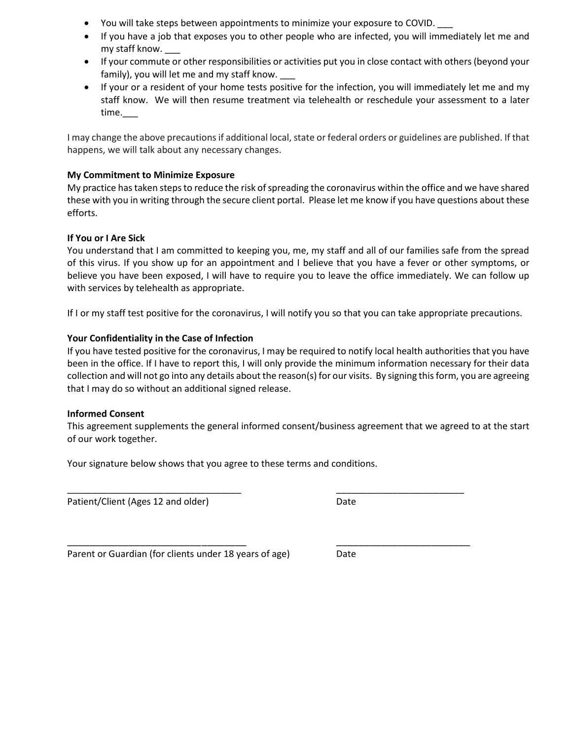- You will take steps between appointments to minimize your exposure to COVID.
- If you have a job that exposes you to other people who are infected, you will immediately let me and my staff know.
- If your commute or other responsibilities or activities put you in close contact with others (beyond your family), you will let me and my staff know.
- If your or a resident of your home tests positive for the infection, you will immediately let me and my staff know. We will then resume treatment via telehealth or reschedule your assessment to a later time.\_\_\_

I may change the above precautions if additional local, state or federal orders or guidelines are published. If that happens, we will talk about any necessary changes.

# **My Commitment to Minimize Exposure**

My practice has taken steps to reduce the risk of spreading the coronavirus within the office and we have shared these with you in writing through the secure client portal. Please let me know if you have questions about these efforts.

## **If You or I Are Sick**

You understand that I am committed to keeping you, me, my staff and all of our families safe from the spread of this virus. If you show up for an appointment and I believe that you have a fever or other symptoms, or believe you have been exposed, I will have to require you to leave the office immediately. We can follow up with services by telehealth as appropriate.

If I or my staff test positive for the coronavirus, I will notify you so that you can take appropriate precautions.

## **Your Confidentiality in the Case of Infection**

If you have tested positive for the coronavirus, I may be required to notify local health authorities that you have been in the office. If I have to report this, I will only provide the minimum information necessary for their data collection and will not go into any details about the reason(s) for our visits. By signing this form, you are agreeing that I may do so without an additional signed release.

#### **Informed Consent**

This agreement supplements the general informed consent/business agreement that we agreed to at the start of our work together.

\_\_\_\_\_\_\_\_\_\_\_\_\_\_\_\_\_\_\_\_\_\_\_\_\_\_\_\_\_\_\_\_\_\_ \_\_\_\_\_\_\_\_\_\_\_\_\_\_\_\_\_\_\_\_\_\_\_\_\_

\_\_\_\_\_\_\_\_\_\_\_\_\_\_\_\_\_\_\_\_\_\_\_\_\_\_\_\_\_\_\_\_ \_\_\_\_\_\_\_\_\_\_\_\_\_\_\_\_\_\_\_\_\_\_\_\_

Your signature below shows that you agree to these terms and conditions.

Patient/Client (Ages 12 and older) Date

Parent or Guardian (for clients under 18 years of age) Date